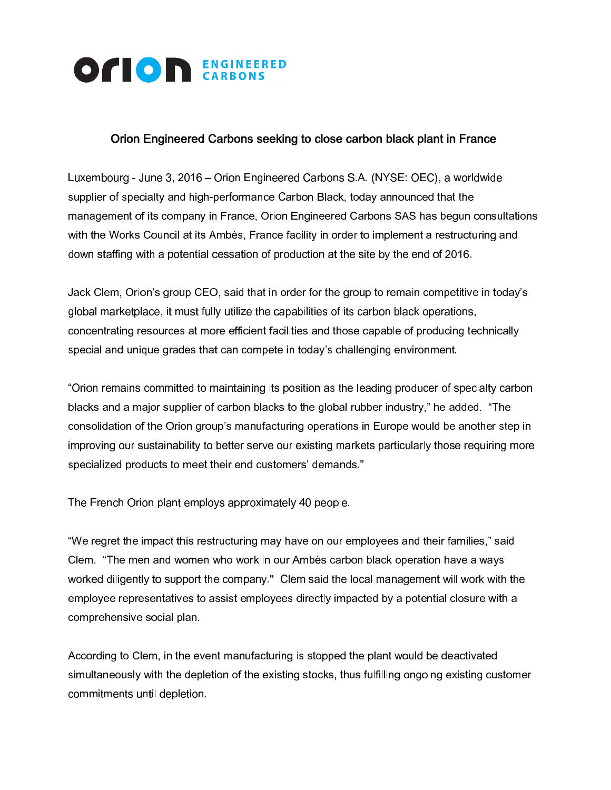

## Orion Engineered Carbons seeking to close carbon black plant in France

Luxembourg - June 3, 2016 – Orion Engineered Carbons S.A. (NYSE: OEC), a worldwide supplier of specialty and high-performance Carbon Black, today announced that the management of its company in France, Orion Engineered Carbons SAS has begun consultations with the Works Council at its Ambès, France facility in order to implement a restructuring and down staffing with a potential cessation of production at the site by the end of 2016.

Jack Clem, Orion's group CEO, said that in order for the group to remain competitive in today's global marketplace, it must fully utilize the capabilities of its carbon black operations, concentrating resources at more efficient facilities and those capable of producing technically special and unique grades that can compete in today's challenging environment.

"Orion remains committed to maintaining its position as the leading producer of specialty carbon blacks and a major supplier of carbon blacks to the global rubber industry," he added. "The consolidation of the Orion group's manufacturing operations in Europe would be another step in improving our sustainability to better serve our existing markets particularly those requiring more specialized products to meet their end customers' demands."

The French Orion plant employs approximately 40 people.

"We regret the impact this restructuring may have on our employees and their families," said Clem. "The men and women who work in our Ambѐs carbon black operation have always worked diligently to support the company." Clem said the local management will work with the employee representatives to assist employees directly impacted by a potential closure with a comprehensive social plan.

According to Clem, in the event manufacturing is stopped the plant would be deactivated simultaneously with the depletion of the existing stocks, thus fulfilling ongoing existing customer commitments until depletion.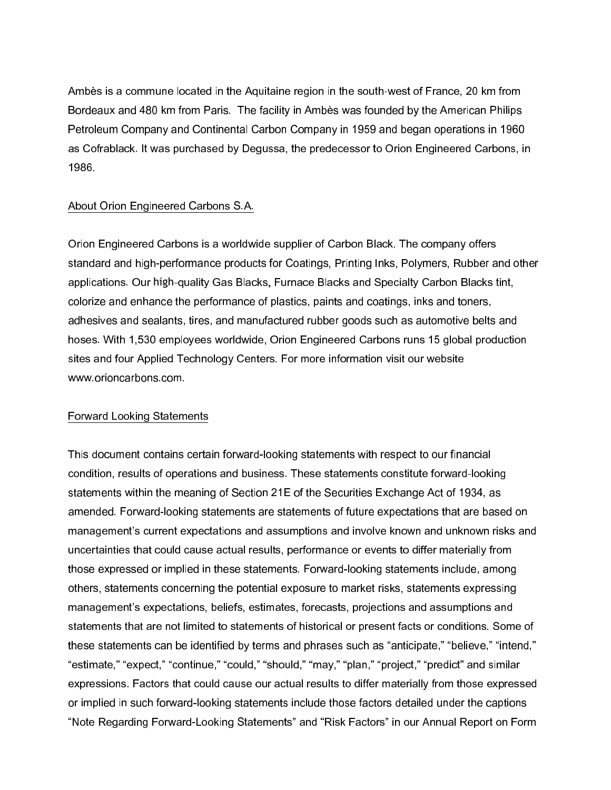Ambѐs is a commune located in the Aquitaine region in the south-west of France, 20 km from Bordeaux and 480 km from Paris. The facility in Ambѐs was founded by the American Philips Petroleum Company and Continental Carbon Company in 1959 and began operations in 1960 as Cofrablack. It was purchased by Degussa, the predecessor to Orion Engineered Carbons, in 1986.

## About Orion Engineered Carbons S.A.

Orion Engineered Carbons is a worldwide supplier of Carbon Black. The company offers standard and high-performance products for Coatings, Printing Inks, Polymers, Rubber and other applications. Our high-quality Gas Blacks, Furnace Blacks and Specialty Carbon Blacks tint, colorize and enhance the performance of plastics, paints and coatings, inks and toners, adhesives and sealants, tires, and manufactured rubber goods such as automotive belts and hoses. With 1,530 employees worldwide, Orion Engineered Carbons runs 15 global production sites and four Applied Technology Centers. For more information visit our website www.orioncarbons.com.

## Forward Looking Statements

This document contains certain forward-looking statements with respect to our financial condition, results of operations and business. These statements constitute forward-looking statements within the meaning of Section 21E of the Securities Exchange Act of 1934, as amended. Forward-looking statements are statements of future expectations that are based on management's current expectations and assumptions and involve known and unknown risks and uncertainties that could cause actual results, performance or events to differ materially from those expressed or implied in these statements. Forward-looking statements include, among others, statements concerning the potential exposure to market risks, statements expressing management's expectations, beliefs, estimates, forecasts, projections and assumptions and statements that are not limited to statements of historical or present facts or conditions. Some of these statements can be identified by terms and phrases such as "anticipate," "believe," "intend," "estimate," "expect," "continue," "could," "should," "may," "plan," "project," "predict" and similar expressions. Factors that could cause our actual results to differ materially from those expressed or implied in such forward-looking statements include those factors detailed under the captions "Note Regarding Forward-Looking Statements" and "Risk Factors" in our Annual Report on Form